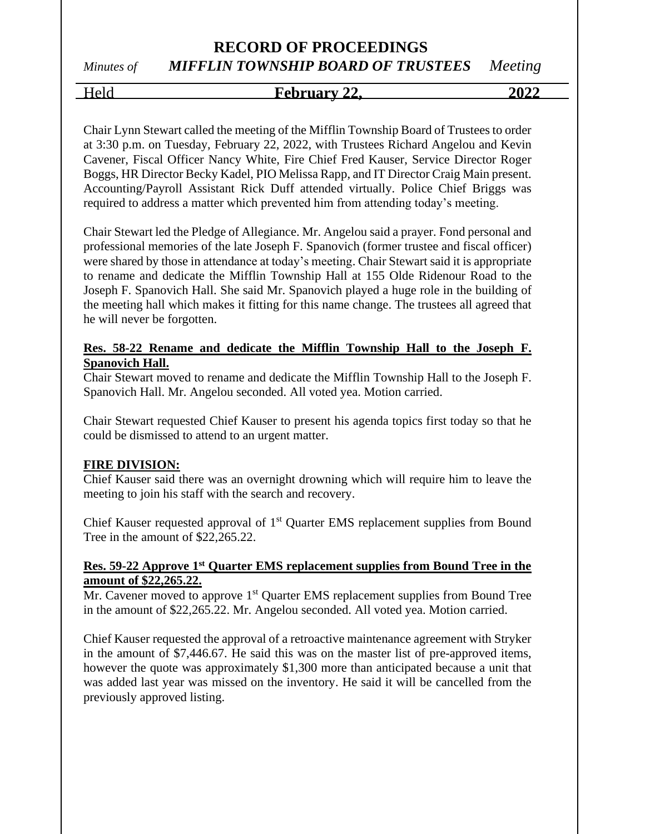# *Minutes of MIFFLIN TOWNSHIP BOARD OF TRUSTEES Meeting*

Held **February 22, 2022**

Chair Lynn Stewart called the meeting of the Mifflin Township Board of Trustees to order at 3:30 p.m. on Tuesday, February 22, 2022, with Trustees Richard Angelou and Kevin Cavener, Fiscal Officer Nancy White, Fire Chief Fred Kauser, Service Director Roger Boggs, HR Director Becky Kadel, PIO Melissa Rapp, and IT Director Craig Main present. Accounting/Payroll Assistant Rick Duff attended virtually. Police Chief Briggs was required to address a matter which prevented him from attending today's meeting.

Chair Stewart led the Pledge of Allegiance. Mr. Angelou said a prayer. Fond personal and professional memories of the late Joseph F. Spanovich (former trustee and fiscal officer) were shared by those in attendance at today's meeting. Chair Stewart said it is appropriate to rename and dedicate the Mifflin Township Hall at 155 Olde Ridenour Road to the Joseph F. Spanovich Hall. She said Mr. Spanovich played a huge role in the building of the meeting hall which makes it fitting for this name change. The trustees all agreed that he will never be forgotten.

## **Res. 58-22 Rename and dedicate the Mifflin Township Hall to the Joseph F. Spanovich Hall.**

Chair Stewart moved to rename and dedicate the Mifflin Township Hall to the Joseph F. Spanovich Hall. Mr. Angelou seconded. All voted yea. Motion carried.

Chair Stewart requested Chief Kauser to present his agenda topics first today so that he could be dismissed to attend to an urgent matter.

## **FIRE DIVISION:**

Chief Kauser said there was an overnight drowning which will require him to leave the meeting to join his staff with the search and recovery.

Chief Kauser requested approval of 1<sup>st</sup> Quarter EMS replacement supplies from Bound Tree in the amount of \$22,265.22.

#### **Res. 59-22 Approve 1st Quarter EMS replacement supplies from Bound Tree in the amount of \$22,265.22.**

Mr. Cavener moved to approve 1<sup>st</sup> Quarter EMS replacement supplies from Bound Tree in the amount of \$22,265.22. Mr. Angelou seconded. All voted yea. Motion carried.

Chief Kauser requested the approval of a retroactive maintenance agreement with Stryker in the amount of \$7,446.67. He said this was on the master list of pre-approved items, however the quote was approximately \$1,300 more than anticipated because a unit that was added last year was missed on the inventory. He said it will be cancelled from the previously approved listing.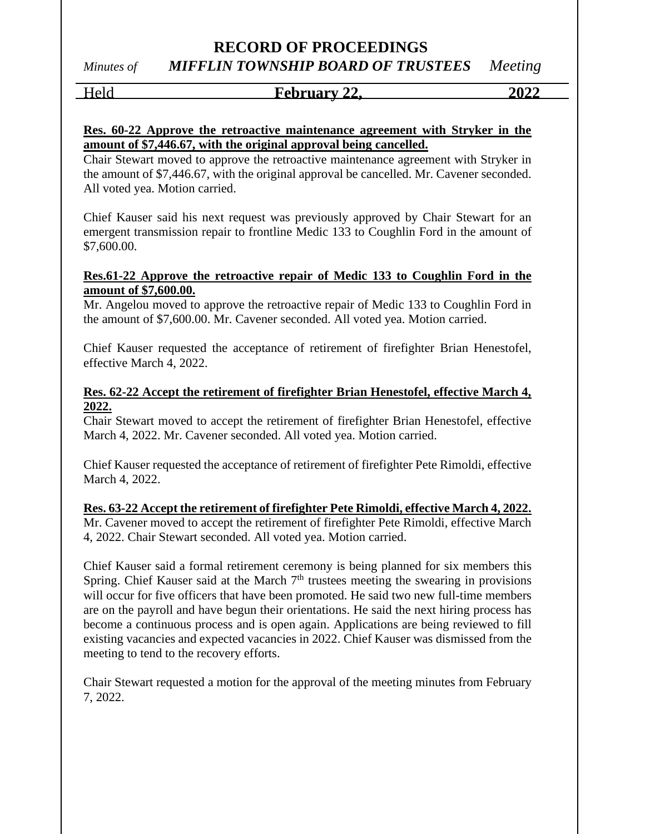# *Minutes of MIFFLIN TOWNSHIP BOARD OF TRUSTEES Meeting*

## Held **February 22, 2022**

## **Res. 60-22 Approve the retroactive maintenance agreement with Stryker in the amount of \$7,446.67, with the original approval being cancelled.**

Chair Stewart moved to approve the retroactive maintenance agreement with Stryker in the amount of \$7,446.67, with the original approval be cancelled. Mr. Cavener seconded. All voted yea. Motion carried.

Chief Kauser said his next request was previously approved by Chair Stewart for an emergent transmission repair to frontline Medic 133 to Coughlin Ford in the amount of \$7,600.00.

## **Res.61-22 Approve the retroactive repair of Medic 133 to Coughlin Ford in the amount of \$7,600.00.**

Mr. Angelou moved to approve the retroactive repair of Medic 133 to Coughlin Ford in the amount of \$7,600.00. Mr. Cavener seconded. All voted yea. Motion carried.

Chief Kauser requested the acceptance of retirement of firefighter Brian Henestofel, effective March 4, 2022.

## **Res. 62-22 Accept the retirement of firefighter Brian Henestofel, effective March 4, 2022.**

Chair Stewart moved to accept the retirement of firefighter Brian Henestofel, effective March 4, 2022. Mr. Cavener seconded. All voted yea. Motion carried.

Chief Kauser requested the acceptance of retirement of firefighter Pete Rimoldi, effective March 4, 2022.

**Res. 63-22 Accept the retirement of firefighter Pete Rimoldi, effective March 4, 2022.** Mr. Cavener moved to accept the retirement of firefighter Pete Rimoldi, effective March 4, 2022. Chair Stewart seconded. All voted yea. Motion carried.

Chief Kauser said a formal retirement ceremony is being planned for six members this Spring. Chief Kauser said at the March  $7<sup>th</sup>$  trustees meeting the swearing in provisions will occur for five officers that have been promoted. He said two new full-time members are on the payroll and have begun their orientations. He said the next hiring process has become a continuous process and is open again. Applications are being reviewed to fill existing vacancies and expected vacancies in 2022. Chief Kauser was dismissed from the meeting to tend to the recovery efforts.

Chair Stewart requested a motion for the approval of the meeting minutes from February 7, 2022.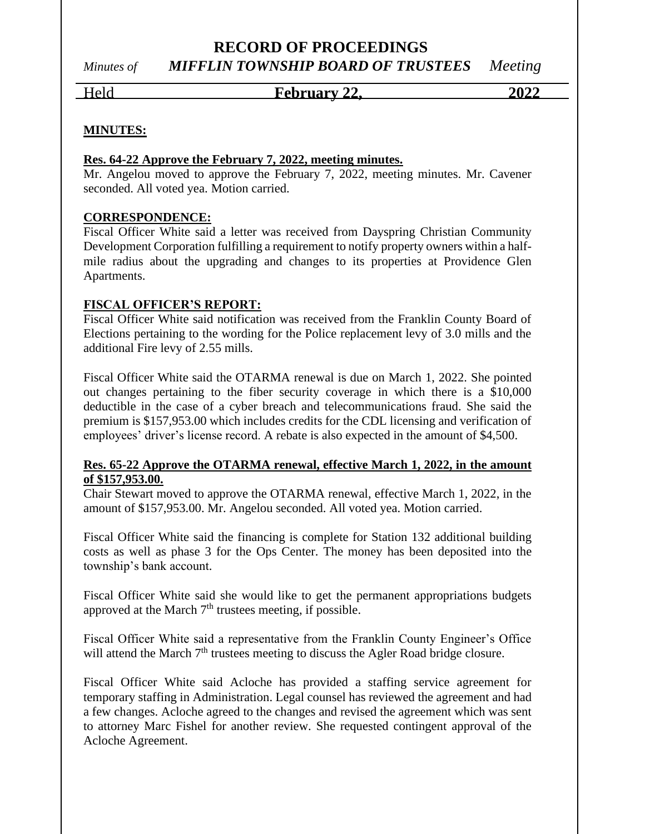## *Minutes of MIFFLIN TOWNSHIP BOARD OF TRUSTEES Meeting*

Held **February 22, 2022**

## **MINUTES:**

#### **Res. 64-22 Approve the February 7, 2022, meeting minutes.**

Mr. Angelou moved to approve the February 7, 2022, meeting minutes. Mr. Cavener seconded. All voted yea. Motion carried.

## **CORRESPONDENCE:**

Fiscal Officer White said a letter was received from Dayspring Christian Community Development Corporation fulfilling a requirement to notify property owners within a halfmile radius about the upgrading and changes to its properties at Providence Glen Apartments.

## **FISCAL OFFICER'S REPORT:**

Fiscal Officer White said notification was received from the Franklin County Board of Elections pertaining to the wording for the Police replacement levy of 3.0 mills and the additional Fire levy of 2.55 mills.

Fiscal Officer White said the OTARMA renewal is due on March 1, 2022. She pointed out changes pertaining to the fiber security coverage in which there is a \$10,000 deductible in the case of a cyber breach and telecommunications fraud. She said the premium is \$157,953.00 which includes credits for the CDL licensing and verification of employees' driver's license record. A rebate is also expected in the amount of \$4,500.

## **Res. 65-22 Approve the OTARMA renewal, effective March 1, 2022, in the amount of \$157,953.00.**

Chair Stewart moved to approve the OTARMA renewal, effective March 1, 2022, in the amount of \$157,953.00. Mr. Angelou seconded. All voted yea. Motion carried.

Fiscal Officer White said the financing is complete for Station 132 additional building costs as well as phase 3 for the Ops Center. The money has been deposited into the township's bank account.

Fiscal Officer White said she would like to get the permanent appropriations budgets approved at the March  $7<sup>th</sup>$  trustees meeting, if possible.

Fiscal Officer White said a representative from the Franklin County Engineer's Office will attend the March 7<sup>th</sup> trustees meeting to discuss the Agler Road bridge closure.

Fiscal Officer White said Acloche has provided a staffing service agreement for temporary staffing in Administration. Legal counsel has reviewed the agreement and had a few changes. Acloche agreed to the changes and revised the agreement which was sent to attorney Marc Fishel for another review. She requested contingent approval of the Acloche Agreement.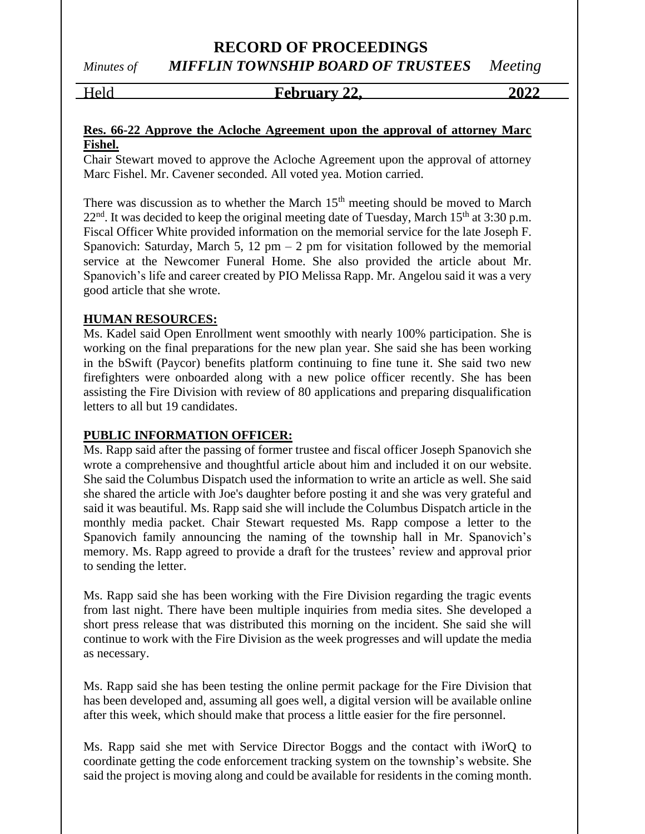*Minutes of MIFFLIN TOWNSHIP BOARD OF TRUSTEES Meeting*

Held **February 22, 2022**

## **Res. 66-22 Approve the Acloche Agreement upon the approval of attorney Marc Fishel.**

Chair Stewart moved to approve the Acloche Agreement upon the approval of attorney Marc Fishel. Mr. Cavener seconded. All voted yea. Motion carried.

There was discussion as to whether the March  $15<sup>th</sup>$  meeting should be moved to March  $22<sup>nd</sup>$ . It was decided to keep the original meeting date of Tuesday, March 15<sup>th</sup> at 3:30 p.m. Fiscal Officer White provided information on the memorial service for the late Joseph F. Spanovich: Saturday, March 5, 12 pm – 2 pm for visitation followed by the memorial service at the Newcomer Funeral Home. She also provided the article about Mr. Spanovich's life and career created by PIO Melissa Rapp. Mr. Angelou said it was a very good article that she wrote.

#### **HUMAN RESOURCES:**

Ms. Kadel said Open Enrollment went smoothly with nearly 100% participation. She is working on the final preparations for the new plan year. She said she has been working in the bSwift (Paycor) benefits platform continuing to fine tune it. She said two new firefighters were onboarded along with a new police officer recently. She has been assisting the Fire Division with review of 80 applications and preparing disqualification letters to all but 19 candidates.

#### **PUBLIC INFORMATION OFFICER:**

Ms. Rapp said after the passing of former trustee and fiscal officer Joseph Spanovich she wrote a comprehensive and thoughtful article about him and included it on our website. She said the Columbus Dispatch used the information to write an article as well. She said she shared the article with Joe's daughter before posting it and she was very grateful and said it was beautiful. Ms. Rapp said she will include the Columbus Dispatch article in the monthly media packet. Chair Stewart requested Ms. Rapp compose a letter to the Spanovich family announcing the naming of the township hall in Mr. Spanovich's memory. Ms. Rapp agreed to provide a draft for the trustees' review and approval prior to sending the letter.

Ms. Rapp said she has been working with the Fire Division regarding the tragic events from last night. There have been multiple inquiries from media sites. She developed a short press release that was distributed this morning on the incident. She said she will continue to work with the Fire Division as the week progresses and will update the media as necessary.

Ms. Rapp said she has been testing the online permit package for the Fire Division that has been developed and, assuming all goes well, a digital version will be available online after this week, which should make that process a little easier for the fire personnel.

Ms. Rapp said she met with Service Director Boggs and the contact with iWorQ to coordinate getting the code enforcement tracking system on the township's website. She said the project is moving along and could be available for residents in the coming month.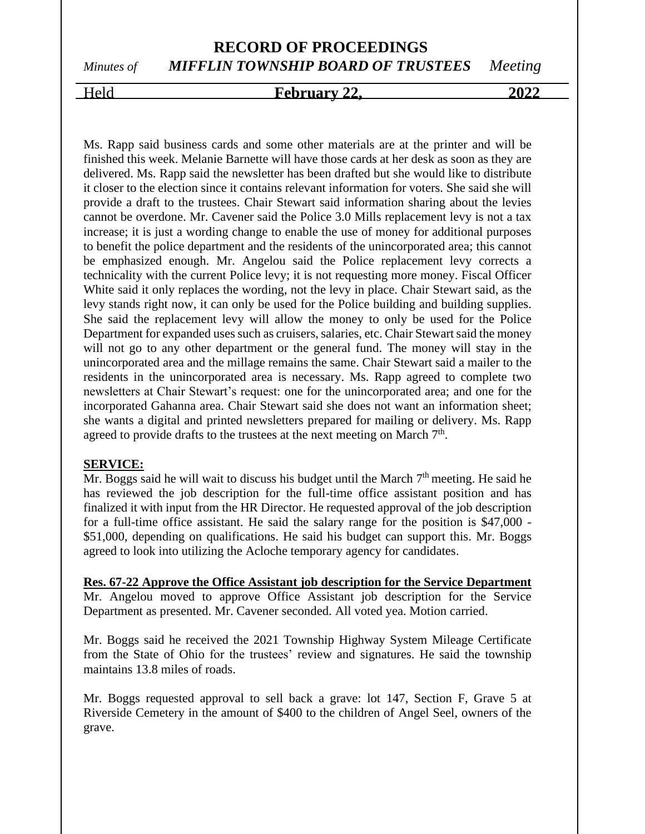# *Minutes of MIFFLIN TOWNSHIP BOARD OF TRUSTEES Meeting*

## Held **February 22, 2022**

Ms. Rapp said business cards and some other materials are at the printer and will be finished this week. Melanie Barnette will have those cards at her desk as soon as they are delivered. Ms. Rapp said the newsletter has been drafted but she would like to distribute it closer to the election since it contains relevant information for voters. She said she will provide a draft to the trustees. Chair Stewart said information sharing about the levies cannot be overdone. Mr. Cavener said the Police 3.0 Mills replacement levy is not a tax increase; it is just a wording change to enable the use of money for additional purposes to benefit the police department and the residents of the unincorporated area; this cannot be emphasized enough. Mr. Angelou said the Police replacement levy corrects a technicality with the current Police levy; it is not requesting more money. Fiscal Officer White said it only replaces the wording, not the levy in place. Chair Stewart said, as the levy stands right now, it can only be used for the Police building and building supplies. She said the replacement levy will allow the money to only be used for the Police Department for expanded uses such as cruisers, salaries, etc. Chair Stewart said the money will not go to any other department or the general fund. The money will stay in the unincorporated area and the millage remains the same. Chair Stewart said a mailer to the residents in the unincorporated area is necessary. Ms. Rapp agreed to complete two newsletters at Chair Stewart's request: one for the unincorporated area; and one for the incorporated Gahanna area. Chair Stewart said she does not want an information sheet; she wants a digital and printed newsletters prepared for mailing or delivery. Ms. Rapp agreed to provide drafts to the trustees at the next meeting on March 7<sup>th</sup>.

#### **SERVICE:**

 $\overline{Mr}$ . Boggs said he will wait to discuss his budget until the March  $7<sup>th</sup>$  meeting. He said he has reviewed the job description for the full-time office assistant position and has finalized it with input from the HR Director. He requested approval of the job description for a full-time office assistant. He said the salary range for the position is \$47,000 - \$51,000, depending on qualifications. He said his budget can support this. Mr. Boggs agreed to look into utilizing the Acloche temporary agency for candidates.

**Res. 67-22 Approve the Office Assistant job description for the Service Department** Mr. Angelou moved to approve Office Assistant job description for the Service Department as presented. Mr. Cavener seconded. All voted yea. Motion carried.

Mr. Boggs said he received the 2021 Township Highway System Mileage Certificate from the State of Ohio for the trustees' review and signatures. He said the township maintains 13.8 miles of roads.

Mr. Boggs requested approval to sell back a grave: lot 147, Section F, Grave 5 at Riverside Cemetery in the amount of \$400 to the children of Angel Seel, owners of the grave.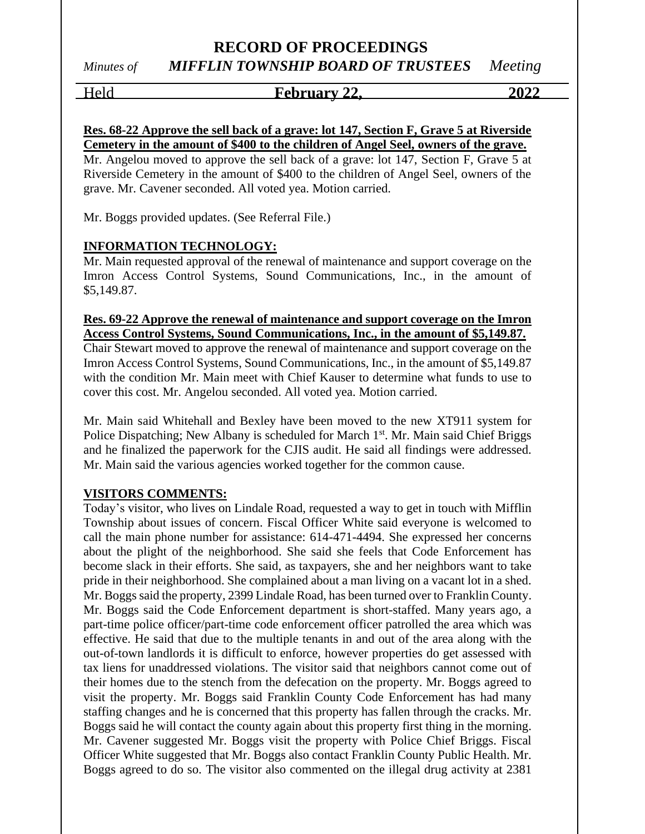## *Minutes of MIFFLIN TOWNSHIP BOARD OF TRUSTEES Meeting*

Held **February 22, 2022**

## **Res. 68-22 Approve the sell back of a grave: lot 147, Section F, Grave 5 at Riverside Cemetery in the amount of \$400 to the children of Angel Seel, owners of the grave.**

Mr. Angelou moved to approve the sell back of a grave: lot 147, Section F, Grave 5 at Riverside Cemetery in the amount of \$400 to the children of Angel Seel, owners of the grave. Mr. Cavener seconded. All voted yea. Motion carried.

Mr. Boggs provided updates. (See Referral File.)

## **INFORMATION TECHNOLOGY:**

Mr. Main requested approval of the renewal of maintenance and support coverage on the Imron Access Control Systems, Sound Communications, Inc., in the amount of \$5,149.87.

## **Res. 69-22 Approve the renewal of maintenance and support coverage on the Imron Access Control Systems, Sound Communications, Inc., in the amount of \$5,149.87.**

Chair Stewart moved to approve the renewal of maintenance and support coverage on the Imron Access Control Systems, Sound Communications, Inc., in the amount of \$5,149.87 with the condition Mr. Main meet with Chief Kauser to determine what funds to use to cover this cost. Mr. Angelou seconded. All voted yea. Motion carried.

Mr. Main said Whitehall and Bexley have been moved to the new XT911 system for Police Dispatching; New Albany is scheduled for March 1<sup>st</sup>. Mr. Main said Chief Briggs and he finalized the paperwork for the CJIS audit. He said all findings were addressed. Mr. Main said the various agencies worked together for the common cause.

## **VISITORS COMMENTS:**

Today's visitor, who lives on Lindale Road, requested a way to get in touch with Mifflin Township about issues of concern. Fiscal Officer White said everyone is welcomed to call the main phone number for assistance: 614-471-4494. She expressed her concerns about the plight of the neighborhood. She said she feels that Code Enforcement has become slack in their efforts. She said, as taxpayers, she and her neighbors want to take pride in their neighborhood. She complained about a man living on a vacant lot in a shed. Mr. Boggs said the property, 2399 Lindale Road, has been turned over to Franklin County. Mr. Boggs said the Code Enforcement department is short-staffed. Many years ago, a part-time police officer/part-time code enforcement officer patrolled the area which was effective. He said that due to the multiple tenants in and out of the area along with the out-of-town landlords it is difficult to enforce, however properties do get assessed with tax liens for unaddressed violations. The visitor said that neighbors cannot come out of their homes due to the stench from the defecation on the property. Mr. Boggs agreed to visit the property. Mr. Boggs said Franklin County Code Enforcement has had many staffing changes and he is concerned that this property has fallen through the cracks. Mr. Boggs said he will contact the county again about this property first thing in the morning. Mr. Cavener suggested Mr. Boggs visit the property with Police Chief Briggs. Fiscal Officer White suggested that Mr. Boggs also contact Franklin County Public Health. Mr. Boggs agreed to do so. The visitor also commented on the illegal drug activity at 2381